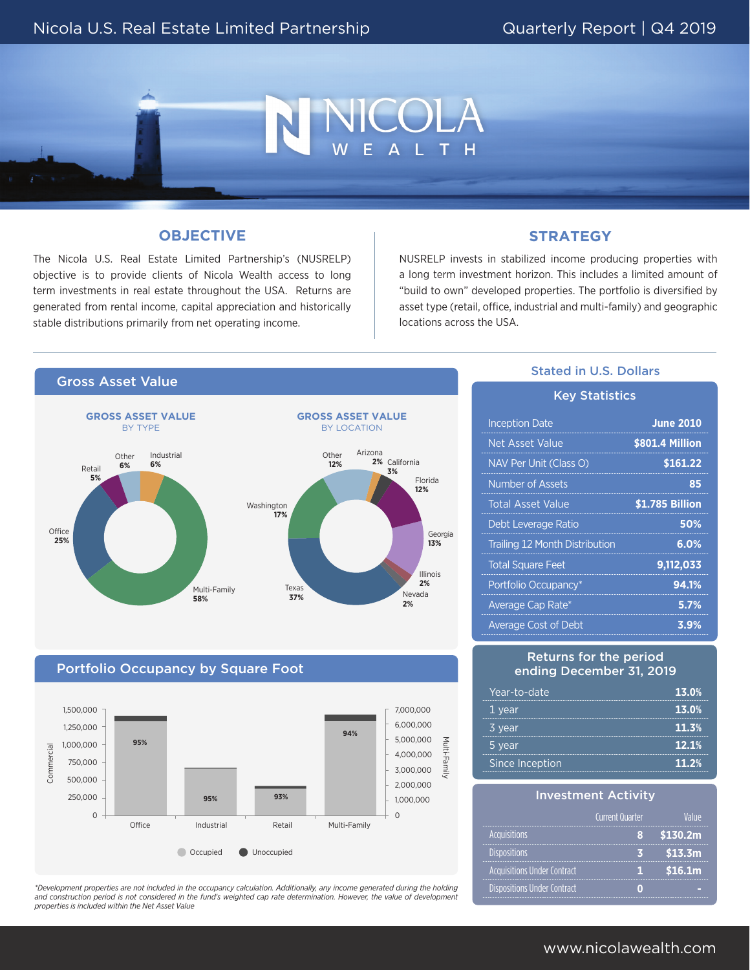

# **OBJECTIVE**

The Nicola U.S. Real Estate Limited Partnership's (NUSRELP) objective is to provide clients of Nicola Wealth access to long term investments in real estate throughout the USA. Returns are generated from rental income, capital appreciation and historically stable distributions primarily from net operating income.

# **STRATEGY**

NUSRELP invests in stabilized income producing properties with a long term investment horizon. This includes a limited amount of "build to own" developed properties. The portfolio is diversified by asset type (retail, office, industrial and multi-family) and geographic locations across the USA.



## Portfolio Occupancy by Square Foot



*\*Development properties are not included in the occupancy calculation. Additionally, any income generated during the holding and construction period is not considered in the fund's weighted cap rate determination. However, the value of development properties is included within the Net Asset Value* 

## Stated in U.S. Dollars

| <b>Key Statistics</b>                 |                  |  |
|---------------------------------------|------------------|--|
| <b>Inception Date</b>                 | <b>June 2010</b> |  |
| Net Asset Value                       | \$801.4 Million  |  |
| NAV Per Unit (Class O)                | \$161.22         |  |
| Number of Assets                      | 85               |  |
| <b>Total Asset Value</b>              | \$1.785 Billion  |  |
| Debt Leverage Ratio                   | 50%              |  |
| <b>Trailing 12 Month Distribution</b> | 6.0%             |  |
| <b>Total Square Feet</b>              | 9,112,033        |  |
| Portfolio Occupancy*                  | 94.1%            |  |
| Average Cap Rate*                     | 5.7%             |  |
| <b>Average Cost of Debt</b>           | 3.9%             |  |

#### Returns for the period ending December 31, 2019

| Year-to-date    | 13.0% |
|-----------------|-------|
| 1 year          | 13.0% |
| 3 year          | 11.3% |
| 5 year          | 12.1% |
| Since Inception | 11.2% |

| <b>Investment Activity</b>         |                 |          |  |
|------------------------------------|-----------------|----------|--|
|                                    | Current Quarter | lalije   |  |
| <b>Acquisitions</b>                |                 | \$130.2m |  |
| <b>Dispositions</b>                |                 | \$13.3m  |  |
| <b>Acquisitions Under Contract</b> |                 | \$16.1m  |  |
| <b>Dispositions Under Contract</b> |                 |          |  |